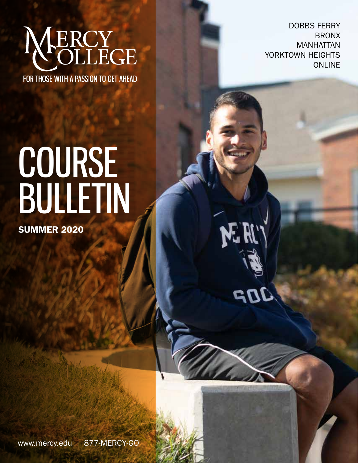# **ERCY<br>OLLEGE**

FOR THOSE WITH A PASSION TO GET AHEAD

DOBBS FERRY BRONX MANHATTAN YORKTOWN HEIGHTS ONLINE

N. H.

## COURSE BULLETIN

SUMMER 2020

www.mercy.edu | 877-MERCY-GO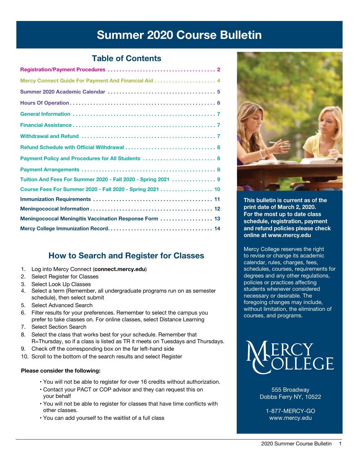## Summer 2020 Course Bulletin

#### Table of Contents

| Payment Policy and Procedures for All Students  8             |
|---------------------------------------------------------------|
|                                                               |
| Tuition And Fees For Summer 2020 - Fall 2020 - Spring 2021  9 |
| Course Fees For Summer 2020 - Fall 2020 - Spring 2021  10     |
|                                                               |
|                                                               |
| Meningococcal Meningitis Vaccination Response Form  13        |
|                                                               |
|                                                               |

### Ho[w to Search and Register for Cl](connect.mercy.edu)asses

- 1. Log into Mercy Connect (**connect.mercy.edu**)
- 2. Select Register for Classes
- 3. Select Look Up Classes
- 4. Select a term (Remember, all undergraduate programs run on as semester schedule), then select submit
- 5. Select Advanced Search
- 6. Filter results for your preferences. Remember to select the campus you prefer to take classes on. For online classes, select Distance Learning
- 7. Select Section Search
- 8. Select the class that works best for your schedule. Remember that R=Thursday, so if a class is listed as TR it meets on Tuesdays and Thursdays.
- 9. Check off the corresponding box on the far left-hand side
- 10. Scroll to the bottom of the search results and select Register

#### **Please consider the following:**

- You will not be able to register for over 16 credits without authorization.
- Contact your PACT or COP advisor and they can request this on your behalf
- You will not be able to register for classes that have time conflicts with other classes.
- You can add yourself to the waitlist of a full class



This bulletin is current as of the print date of March 2, 2020. For the most up to date class schedule, registration, payment and refund policies please check online at www.mercy.edu

Mercy College reserves the right to revise or change its academic calendar, rules, charges, fees, schedules, courses, requirements for degrees and any other regulations, policies or practices affecting students whenever considered necessary or desirable. The foregoing changes may include, without limitation, the elimination of courses, and programs.



555 Broadway Dobbs Ferry NY, 10522

1-877-MERCY-GO www.mercy.edu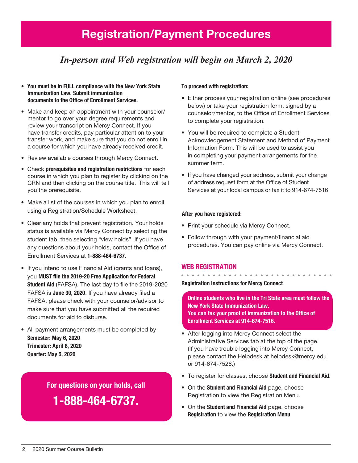## Registration/Payment Procedures

## *In-person and Web registration will begin on March 2, 2020*

- You must be in FULL compliance with the New York State Immunization Law. Submit immunization documents to the Office of Enrollment Services.
- Make and keep an appointment with your counselor/ mentor to go over your degree requirements and review your transcript on Mercy Connect. If you have transfer credits, pay particular attention to your transfer work, and make sure that you do not enroll in a course for which you have already received credit.
- Review available courses through Mercy Connect.
- Check prerequisites and registration restrictions for each course in which you plan to register by clicking on the CRN and then clicking on the course title. This will tell you the prerequisite.
- Make a list of the courses in which you plan to enroll using a Registration/Schedule Worksheet.
- Clear any holds that prevent registration. Your holds status is available via Mercy Connect by selecting the student tab, then selecting "view holds". If you have any questions about your holds, contact the Office of Enrollment Services at 1-888-464-6737.
- If you intend to use Financial Aid (grants and loans), you MUST file the 2019-20 Free Application for Federal Student Aid (FAFSA). The last day to file the 2019-2020 FAFSA is June 30, 2020. If you have already filed a FAFSA, please check with your counselor/advisor to make sure that you have submitted all the required documents for aid to disburse.
- All payment arrangements must be completed by Semester: May 6, 2020 Trimester: April 6, 2020 Quarter: May 5, 2020

For questions on your holds, call

1-888-464-6737.

#### To proceed with registration:

- Either process your registration online (see procedures below) or take your registration form, signed by a counselor/mentor, to the Office of Enrollment Services to complete your registration.
- You will be required to complete a Student Acknowledgement Statement and Method of Payment Information Form. This will be used to assist you in completing your payment arrangements for the summer term.
- If you have changed your address, submit your change of address request form at the Office of Student Services at your local campus or fax it to 914-674-7516

#### After you have registered:

- Print your schedule via Mercy Connect.
- Follow through with your payment/financial aid procedures. You can pay online via Mercy Connect.

#### Web Registration

Registration Instructions for Mercy Connect

Online students who live in the Tri State area must follow the New York State Immunization Law. You can fax your proof of immunization to the Office of Enrollment Services at 914-674-7516.

- • After logging into Mercy Connect select the Administrative Services tab at the top of the page. (If you have trouble logging into Mercy Connect, please contact the Helpdesk at helpdesk@mercy.edu or 914-674-7526.)
- To register for classes, choose Student and Financial Aid.
- On the Student and Financial Aid page, choose Registration to view the Registration Menu.
- On the **Student and Financial Aid** page, choose Registration to view the Registration Menu.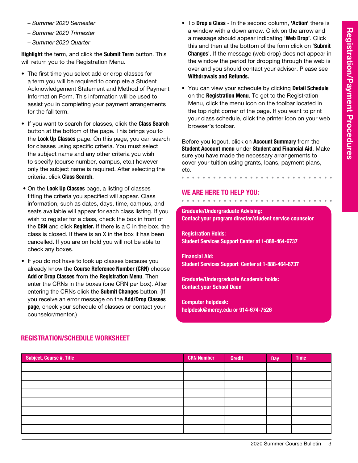- *Summer 2020 Semester*
- *Summer 2020 Trimester*
- *Summer 2020 Quarter*

Highlight the term, and click the Submit Term button. This will return you to the Registration Menu.

- The first time you select add or drop classes for a term you will be required to complete a Student Acknowledgement Statement and Method of Payment Information Form. This information will be used to assist you in completing your payment arrangements for the fall term.
- If you want to search for classes, click the Class Search button at the bottom of the page. This brings you to the Look Up Classes page. On this page, you can search for classes using specific criteria. You must select the subject name and any other criteria you wish to specify (course number, campus, etc.) however only the subject name is required. After selecting the criteria, click Class Search.
- On the Look Up Classes page, a listing of classes fitting the criteria you specified will appear. Class information, such as dates, days, time, campus, and seats available will appear for each class listing. If you wish to register for a class, check the box in front of the CRN and click Register. If there is a C in the box, the class is closed. If there is an X in the box it has been cancelled. If you are on hold you will not be able to check any boxes.
- If you do not have to look up classes because you already know the Course Reference Number (CRN) choose Add or Drop Classes from the Registration Menu. Then enter the CRNs in the boxes (one CRN per box). After entering the CRNs click the Submit Changes button. (If you receive an error message on the Add/Drop Classes page, check your schedule of classes or contact your counselor/mentor.)
- To Drop a Class In the second column, 'Action' there is a window with a down arrow. Click on the arrow and a message should appear indicating 'Web Drop'. Click this and then at the bottom of the form click on 'Submit Changes'. If the message (web drop) does not appear in the window the period for dropping through the web is over and you should contact your advisor. Please see Withdrawals and Refunds.
- You can view your schedule by clicking Detail Schedule on the Registration Menu. To get to the Registration Menu, click the menu icon on the toolbar located in the top right corner of the page. If you want to print your class schedule, click the printer icon on your web browser's toolbar.

Before you logout, click on Account Summary from the Student Account menu under Student and Financial Aid. Make sure you have made the necessary arrangements to cover your tuition using grants, loans, payment plans, etc.

#### We are here to help you:

. . . . . . . . . . . . . .

#### Graduate/Undergraduate Advising: Contact your program director/student service counselor

Registration Holds: Student Services Support Center at 1-888-464-6737

Financial Aid: Student Services Support Center at 1-888-464-6737

Graduate/Undergraduate Academic holds: Contact your School Dean

Computer helpdesk: helpdesk@mercy.edu or 914-674-7526

| Subject, Course #, Title | <b>CRN Number</b> | <b>Credit</b> | <b>Day</b> | <b>Time</b> |
|--------------------------|-------------------|---------------|------------|-------------|
|                          |                   |               |            |             |
|                          |                   |               |            |             |
|                          |                   |               |            |             |
|                          |                   |               |            |             |
|                          |                   |               |            |             |
|                          |                   |               |            |             |
|                          |                   |               |            |             |
|                          |                   |               |            |             |

#### Registration/Schedule Worksheet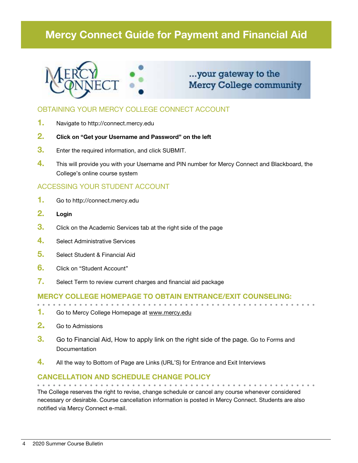## Mercy Connect Guide for Payment and Financial Aid



## ...your gateway to the **Mercy College community**

#### OBTAINING YOUR MERCY COLLEGE CONNECT ACCOUNT

- 1. Navigate to http://connect.mercy.edu
- 2. Click on "Get your Username and Password" on the left
- **3.** Enter the required information, and click SUBMIT.
- 4. This will provide you with your Username and PIN number for Mercy Connect and Blackboard, the College's online course system

#### ACCESSING YOUR STUDENT ACCOUNT

- 1. Go to http://connect.mercy.edu
- 2. Login
- **3.** Click on the Academic Services tab at the right side of the page
- 4. Select Administrative Services
- 5. Select Student & Financial Aid
- 6. Click on "Student Account"
- 7. Select Term to review current charges and financial aid package

#### Mercy College homepage to obtain entrance/exit counseling:

- 1. Go to Mercy College Homepage at www.mercy.edu
- 2. Go to Admissions
- **3.** Go to Financial Aid, How to apply link on the right side of the page. Go to Forms and **Documentation**
- 4. All the way to Bottom of Page are Links (URL'S) for Entrance and Exit Interviews

#### Cancellation and Schedule Change Policy

The College reserves the right to revise, change schedule or cancel any course whenever considered necessary or desirable. Course cancellation information is posted in Mercy Connect. Students are also notified via Mercy Connect e-mail.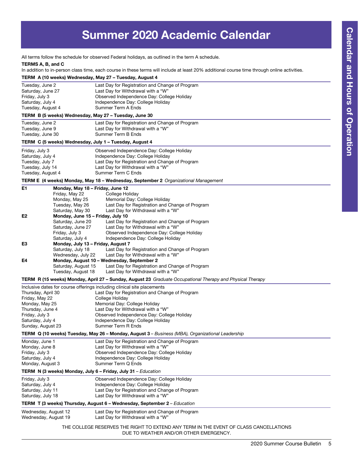## Summer 2020 Academic Calendar

All terms follow the schedule for observed Federal holidays, as outlined in the term A schedule.

#### TERMS A, B, and C

In addition to in-person class time, each course in these terms will include at least 20% additional course time through online activities.

|                                                                                                                                       |                                                                                                                                                                                              | TERM A (10 weeks) Wednesday, May 27 - Tuesday, August 4                                                                                                                                                                                                                                                                       |
|---------------------------------------------------------------------------------------------------------------------------------------|----------------------------------------------------------------------------------------------------------------------------------------------------------------------------------------------|-------------------------------------------------------------------------------------------------------------------------------------------------------------------------------------------------------------------------------------------------------------------------------------------------------------------------------|
| Tuesday, June 2<br>Saturday, June 27<br>Friday, July 3<br>Saturday, July 4<br>Tuesday, August 4                                       |                                                                                                                                                                                              | Last Day for Registration and Change of Program<br>Last Day for Withdrawal with a "W"<br>Observed Independence Day: College Holiday<br>Independence Day: College Holiday<br>Summer Term A Ends                                                                                                                                |
|                                                                                                                                       |                                                                                                                                                                                              | TERM B (5 weeks) Wednesday, May 27 - Tuesday, June 30                                                                                                                                                                                                                                                                         |
| Tuesday, June 2<br>Tuesday, June 9<br>Tuesday, June 30                                                                                |                                                                                                                                                                                              | Last Day for Registration and Change of Program<br>Last Day for Withdrawal with a "W"<br>Summer Term B Ends                                                                                                                                                                                                                   |
|                                                                                                                                       |                                                                                                                                                                                              | TERM C (5 weeks) Wednesday, July 1 - Tuesday, August 4                                                                                                                                                                                                                                                                        |
| Friday, July 3<br>Saturday, July 4<br>Tuesday, July 7<br>Tuesday, July 14<br>Tuesday, August 4                                        |                                                                                                                                                                                              | Observed Independence Day: College Holiday<br>Independence Day: College Holiday<br>Last Day for Registration and Change of Program<br>Last Day for Withdrawal with a "W"<br>Summer Term C Ends<br>TERM E (4 weeks) Monday, May 18 - Wednesday, September 2 Organizational Management                                          |
| E1                                                                                                                                    | Monday, May 18 - Friday, June 12                                                                                                                                                             |                                                                                                                                                                                                                                                                                                                               |
| E <sub>2</sub>                                                                                                                        | Friday, May 22<br>Monday, May 25<br>Tuesday, May 26<br>Saturday, May 30<br>Monday, June 15 - Friday, July 10<br>Saturday, June 20<br>Saturday, June 27<br>Friday, July 3<br>Saturday, July 4 | College Holiday<br>Memorial Day: College Holiday<br>Last Day for Registration and Change of Program<br>Last Day for Withdrawal with a "W"<br>Last Day for Registration and Change of Program<br>Last Day for Withdrawal with a "W"<br>Observed Independence Day: College Holiday<br>Independence Day: College Holiday         |
| E3                                                                                                                                    | Monday, July 13 - Friday, August 7                                                                                                                                                           |                                                                                                                                                                                                                                                                                                                               |
| E4                                                                                                                                    | Saturday, July 18<br>Wednesday, July 22<br>Saturday, August 15<br>Tuesday, August 18                                                                                                         | Last Day for Registration and Change of Program<br>Last Day for Withdrawal with a "W"<br>Monday, August 10 - Wednesday, September 2<br>Last Day for Registration and Change of Program<br>Last Day for Withdrawal with a "W"                                                                                                  |
|                                                                                                                                       |                                                                                                                                                                                              | TERM R (15 weeks) Monday, April 27 - Sunday, August 23 Graduate Occupational Therapy and Physical Therapy                                                                                                                                                                                                                     |
| Thursday, April 30<br>Friday, May 22<br>Monday, May 25<br>Thursday, June 4<br>Friday, July 3<br>Saturday, July 4<br>Sunday, August 23 |                                                                                                                                                                                              | Inclusive dates for course offerings including clinical site placements<br>Last Day for Registration and Change of Program<br>College Holiday<br>Memorial Day: College Holiday<br>Last Day for Withdrawal with a "W"<br>Observed Independence Day: College Holiday<br>Independence Day: College Holiday<br>Summer Term R Ends |
|                                                                                                                                       |                                                                                                                                                                                              | TERM Q (10 weeks) Tuesday, May 26 - Monday, August 3 - Business (MBA), Organizational Leadership                                                                                                                                                                                                                              |
| Monday, June 1<br>Monday, June 8<br>Friday, July 3<br>Saturday, July 4<br>Monday, August 3                                            |                                                                                                                                                                                              | Last Day for Registration and Change of Program<br>Last Day for Withdrawal with a "W"<br>Observed Independence Day: College Holiday<br>Independence Day: College Holiday<br>Summer Term Q Ends                                                                                                                                |
|                                                                                                                                       |                                                                                                                                                                                              | TERM N (3 weeks) Monday, July 6 - Friday, July 31 - Education                                                                                                                                                                                                                                                                 |
| Friday, July 3<br>Saturday, July 4<br>Saturday, July 11<br>Saturday, July 18                                                          |                                                                                                                                                                                              | Observed Independence Day: College Holiday<br>Independence Day: College Holiday<br>Last Day for Registration and Change of Program<br>Last Day for Withdrawal with a "W"                                                                                                                                                      |
|                                                                                                                                       |                                                                                                                                                                                              | TERM T (3 weeks) Thursday, August 6 - Wednesday, September 2 - Education                                                                                                                                                                                                                                                      |
| Wednesday, August 12<br>Wednesday, August 19                                                                                          |                                                                                                                                                                                              | Last Day for Registration and Change of Program<br>Last Day for Withdrawal with a "W"                                                                                                                                                                                                                                         |
|                                                                                                                                       |                                                                                                                                                                                              | THE COLLEGE RESERVES THE RIGHT TO EXTEND ANY TERM IN THE EVENT OF CLASS CANCELLATIONS<br>DUE TO WEATHER AND/OR OTHER EMERGENCY.                                                                                                                                                                                               |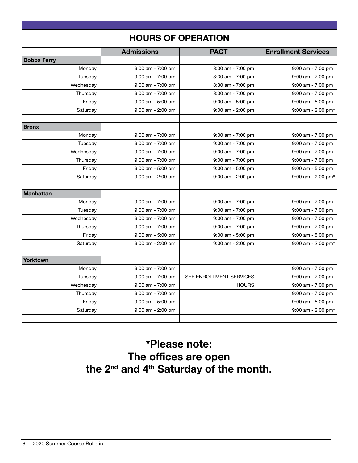| <b>HOURS OF OPERATION</b> |                       |                         |                            |
|---------------------------|-----------------------|-------------------------|----------------------------|
|                           | <b>Admissions</b>     | <b>PACT</b>             | <b>Enrollment Services</b> |
| <b>Dobbs Ferry</b>        |                       |                         |                            |
| Monday                    | $9:00$ am - 7:00 pm   | 8:30 am - 7:00 pm       | $9:00$ am - 7:00 pm        |
| Tuesday                   | $9:00$ am - 7:00 pm   | 8:30 am - 7:00 pm       | $9:00$ am - 7:00 pm        |
| Wednesday                 | 9:00 am - 7:00 pm     | 8:30 am - 7:00 pm       | 9:00 am - 7:00 pm          |
| Thursday                  | $9:00$ am - 7:00 pm   | 8:30 am - 7:00 pm       | $9:00$ am - 7:00 pm        |
| Friday                    | $9:00$ am - 5:00 pm   | 9:00 am - 5:00 pm       | 9:00 am - 5:00 pm          |
| Saturday                  | $9:00$ am - 2:00 pm   | 9:00 am - 2:00 pm       | $9:00$ am - 2:00 pm*       |
|                           |                       |                         |                            |
| <b>Bronx</b>              |                       |                         |                            |
| Monday                    | $9:00$ am - 7:00 pm   | 9:00 am - 7:00 pm       | $9:00$ am - 7:00 pm        |
| Tuesday                   | $9:00$ am - 7:00 pm   | $9:00$ am - $7:00$ pm   | $9:00$ am - 7:00 pm        |
| Wednesday                 | $9:00$ am - 7:00 pm   | $9:00$ am - 7:00 pm     | 9:00 am - 7:00 pm          |
| Thursday                  | $9:00$ am - 7:00 pm   | $9:00$ am - 7:00 pm     | $9:00$ am - 7:00 pm        |
| Friday                    | $9:00$ am - 5:00 pm   | 9:00 am - 5:00 pm       | $9:00$ am - 5:00 pm        |
| Saturday                  | $9:00$ am - 2:00 pm   | 9:00 am - 2:00 pm       | $9:00$ am - 2:00 pm*       |
|                           |                       |                         |                            |
| <b>Manhattan</b>          |                       |                         |                            |
| Monday                    | 9:00 am - 7:00 pm     | $9:00$ am - 7:00 pm     | $9:00$ am - 7:00 pm        |
| Tuesday                   | 9:00 am - 7:00 pm     | 9:00 am - 7:00 pm       | 9:00 am - 7:00 pm          |
| Wednesday                 | 9:00 am - 7:00 pm     | 9:00 am - 7:00 pm       | 9:00 am - 7:00 pm          |
| Thursday                  | 9:00 am - 7:00 pm     | 9:00 am - 7:00 pm       | 9:00 am - 7:00 pm          |
| Friday                    | $9:00$ am - 5:00 pm   | $9:00$ am - 5:00 pm     | $9:00$ am - 5:00 pm        |
| Saturday                  | $9:00$ am - 2:00 pm   | $9:00$ am - 2:00 pm     | $9:00$ am - 2:00 pm*       |
| Yorktown                  |                       |                         |                            |
| Monday                    | $9:00$ am - $7:00$ pm |                         | 9:00 am - 7:00 pm          |
| Tuesday                   | $9:00$ am - 7:00 pm   | SEE ENROLLMENT SERVICES | $9:00$ am - 7:00 pm        |
| Wednesday                 | 9:00 am - 7:00 pm     | <b>HOURS</b>            | 9:00 am - 7:00 pm          |
| Thursday                  | $9:00$ am - 7:00 pm   |                         | $9:00$ am - 7:00 pm        |
| Friday                    | $9:00$ am - 5:00 pm   |                         | 9:00 am - 5:00 pm          |
| Saturday                  | $9:00$ am - 2:00 pm   |                         | 9:00 am - 2:00 pm*         |
|                           |                       |                         |                            |

## \*Please note: The offices are open the 2<sup>nd</sup> and 4<sup>th</sup> Saturday of the month.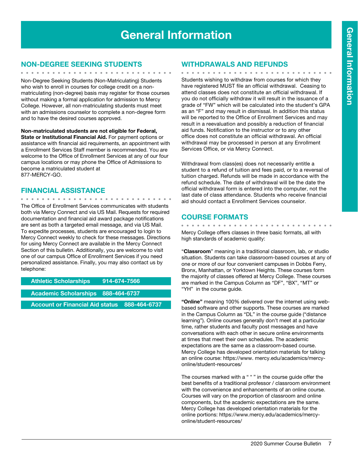## General Information

#### Non-Degree Seeking Students

Non-Degree Seeking Students (Non-Matriculating) Students who wish to enroll in courses for college credit on a nonmatriculating (non-degree) basis may register for those courses without making a formal application for admission to Mercy College. However, all non-matriculating students must meet with an admissions counselor to complete a non-degree form and to have the desired courses approved.

**Non-matriculated students are not eligible for Federal, State or Institutional Financial Aid.** For payment options or assistance with financial aid requirements, an appointment with a Enrollment Services Staff member is recommended. You are welcome to the Office of Enrollment Services at any of our four campus locations or may phone the Office of Admissions to become a matriculated student at 877-MERCY-GO.

#### Financial Assistance

 $\mathbf{A} = \mathbf{A} \mathbf{A} + \mathbf{A} \mathbf{A} + \mathbf{A} \mathbf{A} + \mathbf{A} \mathbf{A} + \mathbf{A} \mathbf{A} + \mathbf{A} \mathbf{A} + \mathbf{A} \mathbf{A} + \mathbf{A} \mathbf{A} + \mathbf{A} \mathbf{A} + \mathbf{A} \mathbf{A} + \mathbf{A} \mathbf{A} + \mathbf{A} \mathbf{A} + \mathbf{A} \mathbf{A} + \mathbf{A} \mathbf{A} + \mathbf{A} \mathbf{A} + \mathbf{A} \mathbf{A} + \mathbf{A$ 

The Office of Enrollment Services communicates with students both via Mercy Connect and via US Mail. Requests for required documentation and financial aid award package notifications are sent as both a targeted email message, and via US Mail. To expedite processes, students are encouraged to login to Mercy Connect weekly to check for these messages. Directions for using Mercy Connect are available in the Mercy Connect Section of this bulletin. Additionally, you are welcome to visit one of our campus Office of Enrollment Services if you need personalized assistance. Finally, you may also contact us by telephone:

Athletic Scholarships 914-674-7566

Academic Scholarships 888-464-6737

Account or Financial Aid status 888-464-6737

#### Withdrawals and Refunds

. . . . . . . . . . . . . . . . . . Students wishing to withdraw from courses for which they have registered MUST file an official withdrawal. Ceasing to attend classes does not constitute an official withdrawal. If you do not officially withdraw it will result in the issuance of a grade of "FW" which will be calculated into the student's GPA as an "F" and may result in dismissal. In addition this status will be reported to the Office of Enrollment Services and may result in a reevaluation and possibly a reduction of financial aid funds. Notification to the instructor or to any other office does not constitute an official withdrawal. An official withdrawal may be processed in person at any Enrollment Services Office, or via Mercy Connect.

Withdrawal from class(es) does not necessarily entitle a student to a refund of tuition and fees paid, or to a reversal of tuition charged. Refunds will be made in accordance with the refund schedule. The date of withdrawal will be the date the official withdrawal form is entered into the computer, not the last date of class attendance. Students who receive financial aid should contact a Enrollment Services counselor.

#### COURSE FORMATS

Mercy College offers classes in three basic formats, all with high standards of academic quality:

"**Classroom**" meaning in a traditional classroom, lab, or studio situation. Students can take classroom-based courses at any of one or more of our four convenient campuses in Dobbs Ferry, Bronx, Manhattan, or Yorktown Heights. These courses form the majority of classes offered at Mercy College. These courses are marked in the Campus Column as "DF", "BX", "MT" or "YH" in the course guide.

**"Online"** meaning 100% delivered over the internet using webbased software and other supports. These courses are marked in the Campus Column as "DL" in the course guide ("distance learning"). Online courses generally don't meet at a particular time, rather students and faculty post messages and have conversations with each other in secure online environments at times that meet their own schedules. The academic expectations are the same as a classroom-based course. Mercy College has developed orientation materials for talking an online course: https://www. mercy.edu/academics/mercyonline/student-resources/

The courses marked with a " \* " in the course guide offer the best benefits of a traditional professor / classroom environment with the convenience and enhancements of an online course. Courses will vary on the proportion of classroom and online components, but the academic expectations are the same. Mercy College has developed orientation materials for the online portions: https://www.mercy.edu/academics/mercyonline/student-resources/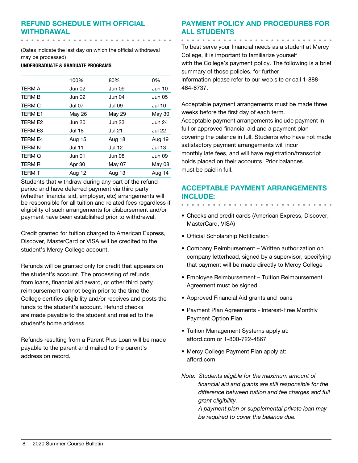#### Refund Schedule with Official Withdrawal

(Dates indicate the last day on which the official withdrawal may be processed)

UNDERGRADUATE & GRADUATE PROGRAMS

. . . . . . . . . . . . . . . . .

|                | 100%          | 80%           | 0%            |
|----------------|---------------|---------------|---------------|
| <b>TERM A</b>  | Jun 02        | <b>Jun 09</b> | <b>Jun 10</b> |
| <b>TERM B</b>  | Jun 02        | Jun 04        | <b>Jun 05</b> |
| <b>TERM C</b>  | Jul 07        | <b>Jul 09</b> | <b>Jul 10</b> |
| <b>TERM E1</b> | May 26        | May 29        | May 30        |
| TERM E2        | <b>Jun 20</b> | <b>Jun 23</b> | <b>Jun 24</b> |
| <b>TERM E3</b> | <b>Jul 18</b> | <b>Jul 21</b> | <b>Jul 22</b> |
| <b>TERM E4</b> | Aug 15        | Aug 18        | Aug 19        |
| <b>TERM N</b>  | <b>Jul 11</b> | Jul 12        | <b>Jul 13</b> |
| <b>TERM Q</b>  | Jun 01        | Jun 08        | Jun 09        |
| <b>TERM R</b>  | Apr 30        | May 07        | May 08        |
| <b>TERM T</b>  | Aug 12        | Aug 13        | Aug 14        |

Students that withdraw during any part of the refund period and have deferred payment via third party (whether financial aid, employer, etc) arrangements will be responsible for all tuition and related fees regardless if eligibility of such arrangements for disbursement and/or payment have been established prior to withdrawal.

Credit granted for tuition charged to American Express, Discover, MasterCard or VISA will be credited to the student's Mercy College account.

Refunds will be granted only for credit that appears on the student's account. The processing of refunds from loans, financial aid award, or other third party reimbursement cannot begin prior to the time the College certifies eligibility and/or receives and posts the funds to the student's account. Refund checks are made payable to the student and mailed to the student's home address.

Refunds resulting from a Parent Plus Loan will be made payable to the parent and mailed to the parent's address on record.

#### Payment Policy and Procedures for all Students

To best serve your financial needs as a student at Mercy College, it is important to familiarize yourself with the College's payment policy. The following is a brief summary of those policies, for further information please refer to our web site or call 1-888- 464-6737.

Acceptable payment arrangements must be made three weeks before the first day of each term. Acceptable payment arrangements include payment in full or approved financial aid and a payment plan covering the balance in full. Students who have not made satisfactory payment arrangements will incur monthly late fees, and will have registration/transcript holds placed on their accounts. Prior balances must be paid in full.

#### Acceptable Payment Arrangements include:

- Checks and credit cards (American Express, Discover, MasterCard, VISA)
- Official Scholarship Notification
- Company Reimbursement Written authorization on company letterhead, signed by a supervisor, specifying that payment will be made directly to Mercy College
- Employee Reimbursement Tuition Reimbursement Agreement must be signed
- Approved Financial Aid grants and loans
- Payment Plan Agreements Interest-Free Monthly Payment Option Plan
- Tuition Management Systems apply at: afford.com or 1-800-722-4867
- Mercy College Payment Plan apply at: afford.com
- *Note: Students eligible for the maximum amount of financial aid and grants are still responsible for the difference between tuition and fee charges and full grant eligibility.*

*A payment plan or supplemental private loan may be required to cover the balance due.*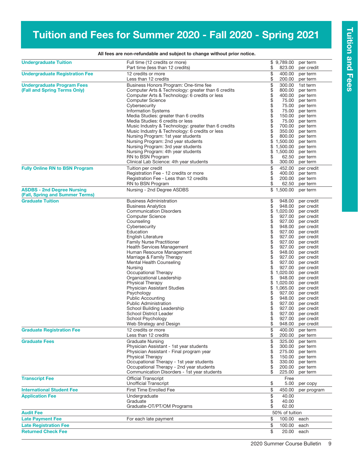## Tuition and Fees for Summer 2020 - Fall 2020 - Spring 2021

|                                                                      | All fees are non-refundable and subject to change without prior notice. |             |                      |                                        |
|----------------------------------------------------------------------|-------------------------------------------------------------------------|-------------|----------------------|----------------------------------------|
| <b>Undergraduate Tuition</b>                                         | Full time (12 credits or more)<br>Part time (less than 12 credits)      | \$          | \$9,789.00<br>823.00 | per term<br>per credit                 |
| <b>Undergraduate Registration Fee</b>                                | 12 credits or more<br>Less than 12 credits                              | \$<br>\$    | 400.00<br>200.00     | per term<br>per term                   |
| <b>Undergraduate Program Fees</b>                                    | Business Honors Program: One-time fee                                   | \$          | 300.00               | 1st term                               |
| (Fall and Spring Terms Only)                                         | Computer Arts & Technology: greater than 6 credits                      | \$          | 800.00               | per term                               |
|                                                                      | Computer Arts & Technology: 6 credits or less                           | $\ddot{\$}$ | 400.00               | per term                               |
|                                                                      | <b>Computer Science</b>                                                 | \$          | 75.00                | per term                               |
|                                                                      | Cybersecurity<br><b>Information Systems</b>                             |             | 75.00<br>75.00       | per term<br>per term                   |
|                                                                      | Media Studies: greater than 6 credits                                   | \$          | 150.00               | per term                               |
|                                                                      | Media Studies: 6 credits or less                                        | \$          | 75.00                | per term                               |
|                                                                      | Music Industry & Technology: greater than 6 credits                     | \$          | 700.00               | per term                               |
|                                                                      | Music Industry & Technology: 6 credits or less                          | \$          | 350.00               | per term                               |
|                                                                      | Nursing Program: 1st year students                                      | \$          | 800.00               | per term                               |
|                                                                      | Nursing Program: 2nd year students                                      | \$          | 1,500.00             | per term                               |
|                                                                      | Nursing Program: 3rd year students                                      | \$          | 1,500.00             | per term                               |
|                                                                      | Nursing Program: 4th year students                                      | \$          | 1,500.00             | per term                               |
|                                                                      | RN to BSN Program<br>Clinical Lab Science: 4th year students            | \$<br>\$    | 62.50<br>300.00      | per term                               |
|                                                                      |                                                                         |             |                      | per term                               |
| <b>Fully Online RN to BSN Program</b>                                | Tuition per credit<br>Registration Fee - 12 credits or more             | \$<br>\$    | 452.00<br>400.00     | per credit                             |
|                                                                      | Registration Fee - Less than 12 credits                                 | \$          | 200.00               | per term<br>per term                   |
|                                                                      | RN to BSN Program                                                       | \$          | 62.50                | per term                               |
| <b>ASDBS - 2nd Degree Nursing</b><br>(Fall, Spring and Summer Terms) | Nursing - 2nd Degree ASDBS                                              |             | \$1,500.00           | per term                               |
| <b>Graduate Tuition</b>                                              | <b>Business Administration</b>                                          | \$          | 948.00               | per credit                             |
|                                                                      | <b>Business Analytics</b>                                               | \$          | 948.00               | per credit                             |
|                                                                      | <b>Communication Disorders</b>                                          | \$          | 1,020.00             | per credit                             |
|                                                                      | <b>Computer Science</b>                                                 | \$          | 927.00               | per credit                             |
|                                                                      | Counseling                                                              | \$          | 927.00               | per credit                             |
|                                                                      | Cybersecurity                                                           | \$          | 948.00               | per credit                             |
|                                                                      | Education                                                               | \$          | 927.00               | per credit                             |
|                                                                      | English Literature                                                      | \$          | 927.00               | per credit                             |
|                                                                      | <b>Family Nurse Practitioner</b>                                        |             | 927.00               | per credit                             |
|                                                                      | <b>Health Services Management</b>                                       | \$<br>\$    | 927.00               | per credit                             |
|                                                                      | Human Resource Management<br>Marriage & Family Therapy                  | \$          | 948.00<br>927.00     | per credit<br>per credit               |
|                                                                      | Mental Health Counseling                                                | \$          | 927.00               | per credit                             |
|                                                                      | Nursing                                                                 | \$          | 927.00               | per credit                             |
|                                                                      | Occupational Therapy                                                    | \$          | 1,020.00             | per credit                             |
|                                                                      | Organizational Leadership                                               | \$          | 948.00               | per credit                             |
|                                                                      | <b>Physical Therapy</b>                                                 | \$          | 1,020.00             | per credit                             |
|                                                                      | Physician Assistant Studies                                             | \$          | 1,065.00             | per credit                             |
|                                                                      | Psychology                                                              | \$          | 927.00               | per credit                             |
|                                                                      | <b>Public Accounting</b>                                                | \$          | 948.00               | per credit                             |
|                                                                      | <b>Public Administration</b>                                            | \$          | 927.00               | per credit                             |
|                                                                      | School Building Leadership<br>School District Leader                    | \$<br>\$    |                      | 927.00 per credit<br>927.00 per credit |
|                                                                      | School Psychology                                                       | \$          |                      | 927.00 per credit                      |
|                                                                      | Web Strategy and Design                                                 | \$          | 948.00               | per credit                             |
| <b>Graduate Registration Fee</b>                                     | 12 credits or more<br>Less than 12 credits                              | \$<br>\$    | 400.00<br>200.00     | per term<br>per term                   |
| <b>Graduate Fees</b>                                                 | Graduate Nursing                                                        | \$          | 325.00               | per term                               |
|                                                                      | Physician Assistant - 1st year students                                 | \$          | 300.00               | per term                               |
|                                                                      | Physician Assistant - Final program year                                | \$          | 275.00               | per term                               |
|                                                                      | <b>Physical Therapy</b>                                                 | \$          | 150.00               | per term                               |
|                                                                      | Occupational Therapy - 1st year students                                |             | 330.00               | per term                               |
|                                                                      | Occupational Therapy - 2nd year students                                | \$          | 200.00               | per term                               |
|                                                                      | Communication Disorders - 1st year students                             | \$          | 225.00               | per term                               |
| <b>Transcript Fee</b>                                                | <b>Official Transcript</b><br><b>Unofficial Transcript</b>              | \$          | Free<br>5.00         | per copy                               |
| <b>International Student Fee</b>                                     | <b>First Time Enrolled Fee</b>                                          | \$          | 450.00               | per program                            |
| <b>Application Fee</b>                                               | Undergraduate                                                           | \$          | 40.00                |                                        |
|                                                                      | Graduate                                                                | \$          | 40.00                |                                        |
|                                                                      | Graduate-OT/PT/OM Programs                                              | \$          | 62.00                |                                        |
| <b>Audit Fee</b>                                                     |                                                                         |             | 50% of tuition       |                                        |
| <b>Late Payment Fee</b>                                              | For each late payment                                                   | \$          | 100.00               | each                                   |
| <b>Late Registration Fee</b>                                         |                                                                         | \$          | 100.00               | each                                   |
| <b>Returned Check Fee</b>                                            |                                                                         | \$          | 20.00                | each                                   |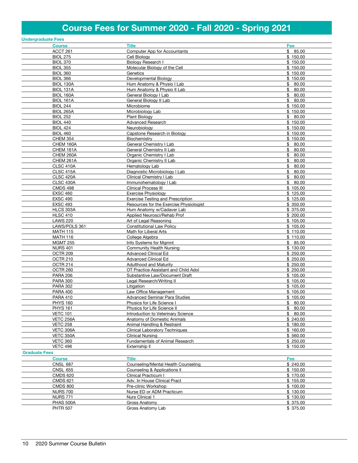## Course Fees for Summer 2020 - Fall 2020 - Spring 2021

|                      | <b>Undergraduate Fees</b>   |                                                         |                     |
|----------------------|-----------------------------|---------------------------------------------------------|---------------------|
|                      | <b>Course</b>               | <b>Title</b>                                            | Fee                 |
|                      | ACCT 261                    | Computer App for Accountants                            | \$85.00             |
|                      | <b>BIOL 275</b>             | Cell Biology                                            | \$150.00            |
|                      | <b>BIOL 370</b>             | <b>Biology Research I</b>                               | \$150.00            |
|                      | <b>BIOL 355</b>             | Molecular Biology of the Cell                           | \$150.00            |
|                      | <b>BIOL 360</b>             | Genetics                                                | \$150.00            |
|                      | <b>BIOL 366</b>             | Developmental Biology                                   | \$150.00            |
|                      | BIOL 130A                   | Hum Anatomy & Physio I Lab                              | \$80.00             |
|                      | BIOL 131A                   | Hum Anatomy & Physio II Lab                             | \$80.00             |
|                      | BIOL 160A                   | General Biology I Lab                                   | \$<br>80.00         |
|                      | <b>BIOL 161A</b>            | General Biology II Lab                                  | \$<br>80.00         |
|                      | <b>BIOL 244</b>             | Microbiome                                              | \$150.00            |
|                      | <b>BIOL 265A</b>            | Microbiology Lab                                        | \$150.00            |
|                      | <b>BIOL 252</b>             | Plant Biology                                           | \$80.00             |
|                      | <b>BIOL 440</b>             | Advanced Research                                       | \$150.00            |
|                      | <b>BIOL 424</b>             | Neurobiology                                            | \$150.00            |
|                      | <b>BIOL 460</b>             | Capstone Research in Biology                            | \$150.00            |
|                      | <b>CHEM 354</b>             | Biochemistry                                            | \$150.00            |
|                      | CHEM 160A                   | General Chemistry I Lab                                 | \$<br>80.00         |
|                      | CHEM 161A                   | General Chemistry II Lab                                | \$<br>80.00         |
|                      | CHEM 260A                   | Organic Chemistry I Lab                                 | \$<br>80.00         |
|                      | <b>CHEM 261A</b>            | Organic Chemistry II Lab                                | 80.00<br>\$         |
|                      | CLSC 410A                   | Hematology Lab                                          | \$<br>80.00         |
|                      | CLSC 415A                   | Diagnostic Microbiology I Lab                           | \$<br>80.00         |
|                      | <b>CLSC 420A</b>            | Clinical Chemistry I Lab                                | \$<br>80.00         |
|                      | <b>CLSC 430A</b>            | Immunohematology   Lab                                  | \$80.00             |
|                      | <b>CMDS 498</b>             | <b>Clinical Process III</b>                             | \$105.00            |
|                      | <b>EXSC 460</b>             | <b>Exercise Physiology</b>                              | \$125.00            |
|                      | <b>EXSC 490</b>             | <b>Exercise Testing and Prescription</b>                | \$125.00            |
|                      | <b>EXSC 493</b>             | Resources for the Exercise Physiologist                 | \$350.00            |
|                      | HLCS 303A                   | Hum Anatomy w/Cadaver Lab                               | \$375.00            |
|                      | <b>HLSC 410</b>             | Applied Neurosci/Rehab Prof                             | \$200.00            |
|                      | <b>LAWS 220</b>             | Art of Legal Reasoning                                  | \$105.00            |
|                      | LAWS/POLS 361               | <b>Constitutional Law Policy</b>                        | \$105.00            |
|                      | <b>MATH 115</b>             | Math for Liberal Arts                                   | \$110.00            |
|                      | <b>MATH 116</b>             | College Algebra                                         | \$110.00            |
|                      | <b>MGMT 255</b>             | Info Systems for Mgmnt                                  | \$85.00<br>\$130.00 |
|                      | <b>NURS 401</b><br>OCTR 209 | Community Health Nursing<br><b>Advanced Clinical Ed</b> | \$250.00            |
|                      | <b>OCTR 210</b>             | Advanced Clinical Ed                                    | \$250.00            |
|                      | OCTR 214                    | <b>Adulthood and Maturity</b>                           | \$250.00            |
|                      | OCTR 260                    | OT Practice Assistant and Child Adol                    | \$250.00            |
|                      | <b>PARA 206</b>             | Substantive Law/Document Draft                          | \$105.00            |
|                      | <b>PARA 300</b>             | Legal Research/Writing II                               | \$105.00            |
|                      | <b>PARA 302</b>             | Litigation                                              | \$105.00            |
|                      | <b>PARA 400</b>             | Law Office Management                                   | \$105.00            |
|                      | <b>PARA 410</b>             | <b>Advanced Seminar Para Studies</b>                    | \$105.00            |
|                      | <b>PHYS 160</b>             | Physics for Life Science I                              | \$80.00             |
|                      | <b>PHYS 161</b>             | Physics for Life Science II                             | \$<br>80.00         |
|                      | <b>VETC 101</b>             | Introduction to Veterinary Science                      | \$80.00             |
|                      | VETC 256A                   | Anatomy of Domestic Animals                             | \$240.00            |
|                      | <b>VETC 258</b>             | Animal Handling & Restraint                             | \$180.00            |
|                      | VETC 306A                   | <b>Clinical Laboratory Techniques</b>                   | \$160.00            |
|                      | VETC 350A                   | <b>Clinical Nursing</b>                                 | \$560.00            |
|                      | <b>VETC 360</b>             | Fundamentals of Animal Research                         | \$250.00            |
|                      | <b>VETC 496</b>             | Externship II                                           | \$150.00            |
| <b>Graduate Fees</b> |                             |                                                         |                     |
|                      | <b>Course</b>               | Title                                                   | Fee                 |
|                      | <b>CNSL 687</b>             | Counseling/Mental Health Counseling                     | \$240.00            |
|                      | <b>CNSL 655</b>             | Counseling & Applications II                            | \$150.00            |
|                      | <b>CMDS 620</b>             | Clinical Practicum I                                    | \$170.00            |
|                      | <b>CMDS 621</b>             | Adv. In House Clinical Pract                            | \$155.00            |
|                      | <b>CMDS 800</b>             | Pre-clinic Workshop                                     | \$100.00            |
|                      | <b>NURS 700</b>             | Nurse ED or ADM Practicum                               | \$130.00            |
|                      | <b>NURS 771</b>             | Nurs Clinical 1                                         | \$130.00            |
|                      | PHAS 500A                   | Gross Anatomy                                           | \$ 375.00           |
|                      | <b>PHTR 507</b>             | Gross Anatomy Lab                                       | \$ 375.00           |
|                      |                             |                                                         |                     |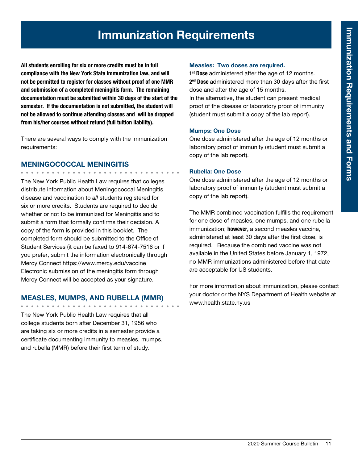## Immunization Requirements

All students enrolling for six or more credits must be in full compliance with the New York State Immunization law, and will not be permitted to register for classes without proof of one MMR and submission of a completed meningitis form. The remaining documentation must be submitted within 30 days of the start of the semester. If the documentation is not submitted, the student will not be allowed to continue attending classes and will be dropped from his/her courses without refund (full tuition liability).

There are several ways to comply with the immunization requirements:

#### MENINGOCOCCAL MENINGITIS

. . . . . . . . . . . . . . . . . .

The New York Public Health Law requires that colleges distribute information about Meningococcal Meningitis disease and vaccination to *all* students registered for six or more credits. Students are required to decide whether or not to be immunized for Meningitis and to submit a form that formally confirms their decision. A copy of the form is provided in this booklet. The completed form should be submitted to the Office of Student Services (it can be faxed to 914-674-7516 or if you prefer, submit the information electronically through Mercy Connect https://www.mercy.edu/vaccine Electronic submission of the meningitis form through Mercy Connect will be accepted as your signature.

#### MEASLES, MUMPS, AND RUBELLA (MMR)

The New York Public Health Law requires that all college students born after December 31, 1956 who are taking six or more credits in a semester provide a certificate documenting immunity to measles, mumps, and rubella (MMR) before their first term of study.

#### Measles: Two doses are required.

1<sup>st</sup> Dose administered after the age of 12 months. 2<sup>nd</sup> Dose administered more than 30 days after the first dose and after the age of 15 months. In the alternative, the student can present medical proof of the disease or laboratory proof of immunity

(student must submit a copy of the lab report).

Mumps: One Dose

One dose administered after the age of 12 months or laboratory proof of immunity (student must submit a copy of the lab report).

#### Rubella: One Dose

One dose administered after the age of 12 months or laboratory proof of immunity (student must submit a copy of the lab report).

The MMR combined vaccination fulfills the requirement for one dose of measles, one mumps, and one rubella immunization; however, a second measles vaccine, administered at least 30 days after the first dose, is required. Because the combined vaccine was not available in the United States before January 1, 1972, no MMR immunizations administered before that date are acceptable for US students.

For more information about immunization, please contact your doctor or the NYS Department of Health website at www.health.state.ny.us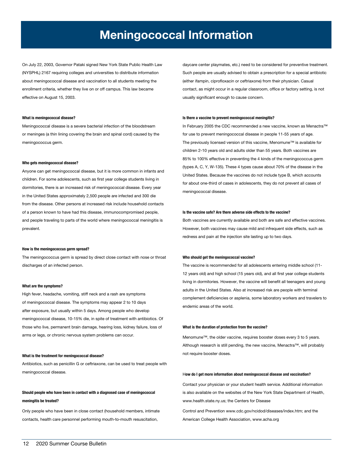## Meningococcal Information

On July 22, 2003, Governor Pataki signed New York State Public Health Law (NYSPHL) 2167 requiring colleges and universities to distribute information about meningococcal disease and vaccination to all students meeting the enrollment criteria, whether they live on or off campus. This law became effective on August 15, 2003.

#### What is meningococcal disease?

Meningococcal disease is a severe bacterial infection of the bloodstream or meninges (a thin lining covering the brain and spinal cord) caused by the meningococcus germ.

#### Who gets meningococcal disease?

Anyone can get meningococcal disease, but it is more common in infants and children. For some adolescents, such as first year college students living in dormitories, there is an increased risk of meningococcal disease. Every year in the United States approximately 2,500 people are infected and 300 die from the disease. Other persons at increased risk include household contacts of a person known to have had this disease, immunocompromised people, and people traveling to parts of the world where meningococcal meningitis is prevalent.

#### How is the meningococcus germ spread?

The meningococcus germ is spread by direct close contact with nose or throat discharges of an infected person.

#### What are the symptoms?

High fever, headache, vomiting, stiff neck and a rash are symptoms of meningococcal disease. The symptoms may appear 2 to 10 days after exposure, but usually within 5 days. Among people who develop meningococcal disease, 10-15% die, in spite of treatment with antibiotics. Of those who live, permanent brain damage, hearing loss, kidney failure, loss of arms or legs, or chronic nervous system problems can occur.

#### What is the treatment for meningococcal disease?

Antibiotics, such as penicillin G or ceftriaxone, can be used to treat people with meningococcal disease.

#### Should people who have been in contact with a diagnosed case of meningococcal meningitis be treated?

Only people who have been in close contact (household members, intimate contacts, health care personnel performing mouth-to-mouth resuscitation,

daycare center playmates, etc.) need to be considered for preventive treatment. Such people are usually advised to obtain a prescription for a special antibiotic (either ifampin, ciprofloxacin or ceftriaxone) from their physician. Casual contact, as might occur in a regular classroom, office or factory setting, is not usually significant enough to cause concern.

#### Is there a vaccine to prevent meningococcal meningitis?

In February 2005 the CDC recommended a new vaccine, known as Menactra™ for use to prevent meningococcal disease in people 11-55 years of age. The previously licensed version of this vaccine, Menomune™ is available for children 2-10 years old and adults older than 55 years. Both vaccines are 85% to 100% effective in preventing the 4 kinds of the meningococcus germ (types A, C, Y, W-135). These 4 types cause about 70% of the disease in the United States. Because the vaccines do not include type B, which accounts for about one-third of cases in adolescents, they do not prevent all cases of meningococcal disease.

#### Is the vaccine safe? Are there adverse side effects to the vaccine?

Both vaccines are currently available and both are safe and effective vaccines. However, both vaccines may cause mild and infrequent side effects, such as redness and pain at the injection site lasting up to two days.

#### Who should get the meningococcal vaccine?

The vaccine is recommended for all adolescents entering middle school (11- 12 years old) and high school (15 years old), and all first year college students living in dormitories. However, the vaccine will benefit all teenagers and young adults in the United States. Also at increased risk are people with terminal complement deficiencies or asplenia, some laboratory workers and travelers to endemic areas of the world.

#### What is the duration of protection from the vaccine?

Menomune™, the older vaccine, requires booster doses every 3 to 5 years. Although research is still pending, the new vaccine, Menactra™, will probably not require booster doses.

#### How do I get more information about meningococcal disease and vaccination?

Contact your physician or your student health service. Additional information is also available on the websites of the New York State Department of Health, www.health.state.ny.us; the Centers for Disease

Control and Prevention www.cdc.gov/ncidod/diseases/index.htm; and the American College Health Association, www.acha.org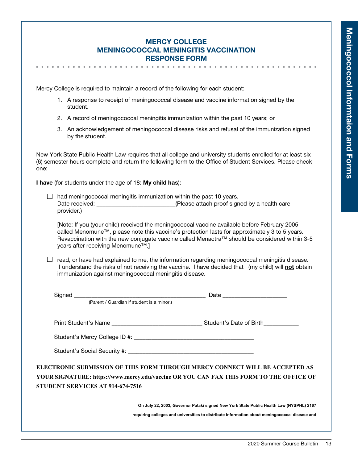#### Mercy College Meningococcal Meningitis Vaccination Response Form

Mercy College is required to maintain a record of the following for each student:

- 1. A response to receipt of meningococcal disease and vaccine information signed by the student.
- 2. A record of meningococcal meningitis immunization within the past 10 years; or
- 3. An acknowledgement of meningococcal disease risks and refusal of the immunization signed by the student.

New York State Public Health Law requires that all college and university students enrolled for at least six (6) semester hours complete and return the following form to the Office of Student Services. Please check one:

I have (for students under the age of 18: My child has):

 $\Box$  had meningococcal meningitis immunization within the past 10 years. Date received: <br>  $(Please attach proof signed by a health care)$ provider.)

 [Note: If you (your child) received the meningococcal vaccine available before February 2005 called Menomune™, please note this vaccine's protection lasts for approximately 3 to 5 years. Revaccination with the new conjugate vaccine called Menactra™ should be considered within 3-5 years after receiving Menomune™.]

 $\Box$  read, or have had explained to me, the information regarding meningococcal meningitis disease. I understand the risks of not receiving the vaccine. I have decided that I (my child) will not obtain immunization against meningococcal meningitis disease.

| (Parent / Guardian if student is a minor.) |                                                                                               |
|--------------------------------------------|-----------------------------------------------------------------------------------------------|
|                                            |                                                                                               |
|                                            |                                                                                               |
|                                            |                                                                                               |
|                                            |                                                                                               |
|                                            | ELECTRONIC SUBMISSION OF THIS FORM THROUGH MERCY CONNECT WILL BE ACCEPTED AS                  |
|                                            | YOUR SIGNATURE: https://www.mercy.edu/vaccine OR YOU CAN FAX THIS FORM TO THE OFFICE OF       |
| STUDENT SERVICES AT 914-674-7516           |                                                                                               |
|                                            |                                                                                               |
|                                            | On July 22, 2003, Governor Pataki signed New York State Public Health Law (NYSPHL) 2167       |
|                                            | requiring colleges and universities to distribute information about meningococcal disease and |
|                                            |                                                                                               |
|                                            |                                                                                               |